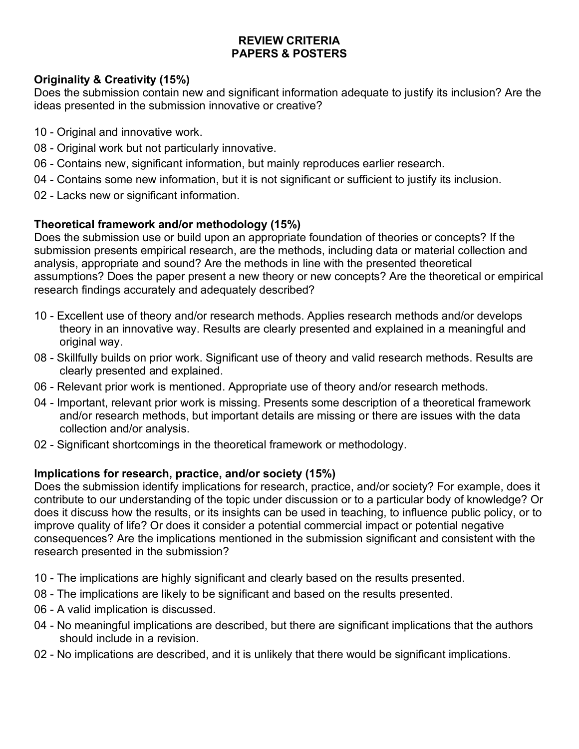### **REVIEW CRITERIA PAPERS & POSTERS**

### **Originality & Creativity (15%)**

Does the submission contain new and significant information adequate to justify its inclusion? Are the ideas presented in the submission innovative or creative?

- 10 Original and innovative work.
- 08 Original work but not particularly innovative.
- 06 Contains new, significant information, but mainly reproduces earlier research.
- 04 Contains some new information, but it is not significant or sufficient to justify its inclusion.
- 02 Lacks new or significant information.

### **Theoretical framework and/or methodology (15%)**

Does the submission use or build upon an appropriate foundation of theories or concepts? If the submission presents empirical research, are the methods, including data or material collection and analysis, appropriate and sound? Are the methods in line with the presented theoretical assumptions? Does the paper present a new theory or new concepts? Are the theoretical or empirical research findings accurately and adequately described?

- 10 Excellent use of theory and/or research methods. Applies research methods and/or develops theory in an innovative way. Results are clearly presented and explained in a meaningful and original way.
- 08 Skillfully builds on prior work. Significant use of theory and valid research methods. Results are clearly presented and explained.
- 06 Relevant prior work is mentioned. Appropriate use of theory and/or research methods.
- 04 Important, relevant prior work is missing. Presents some description of a theoretical framework and/or research methods, but important details are missing or there are issues with the data collection and/or analysis.
- 02 Significant shortcomings in the theoretical framework or methodology.

### **Implications for research, practice, and/or society (15%)**

Does the submission identify implications for research, practice, and/or society? For example, does it contribute to our understanding of the topic under discussion or to a particular body of knowledge? Or does it discuss how the results, or its insights can be used in teaching, to influence public policy, or to improve quality of life? Or does it consider a potential commercial impact or potential negative consequences? Are the implications mentioned in the submission significant and consistent with the research presented in the submission?

- 10 The implications are highly significant and clearly based on the results presented.
- 08 The implications are likely to be significant and based on the results presented.
- 06 A valid implication is discussed.
- 04 No meaningful implications are described, but there are significant implications that the authors should include in a revision.
- 02 No implications are described, and it is unlikely that there would be significant implications.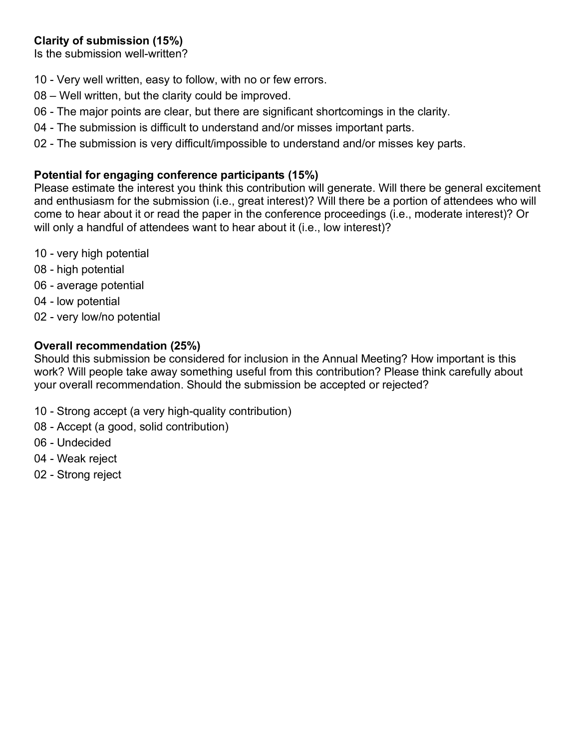# **Clarity of submission (15%)**

Is the submission well-written?

- 10 Very well written, easy to follow, with no or few errors.
- 08 Well written, but the clarity could be improved.
- 06 The major points are clear, but there are significant shortcomings in the clarity.
- 04 The submission is difficult to understand and/or misses important parts.
- 02 The submission is very difficult/impossible to understand and/or misses key parts.

### **Potential for engaging conference participants (15%)**

Please estimate the interest you think this contribution will generate. Will there be general excitement and enthusiasm for the submission (i.e., great interest)? Will there be a portion of attendees who will come to hear about it or read the paper in the conference proceedings (i.e., moderate interest)? Or will only a handful of attendees want to hear about it (i.e., low interest)?

- 10 very high potential
- 08 high potential
- 06 average potential
- 04 low potential
- 02 very low/no potential

#### **Overall recommendation (25%)**

Should this submission be considered for inclusion in the Annual Meeting? How important is this work? Will people take away something useful from this contribution? Please think carefully about your overall recommendation. Should the submission be accepted or rejected?

- 10 Strong accept (a very high-quality contribution)
- 08 Accept (a good, solid contribution)
- 06 Undecided
- 04 Weak reject
- 02 Strong reject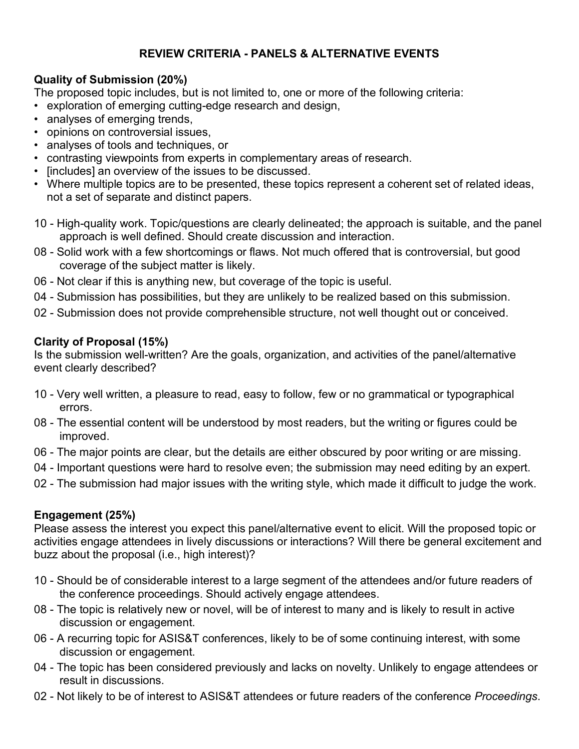# **REVIEW CRITERIA - PANELS & ALTERNATIVE EVENTS**

# **Quality of Submission (20%)**

The proposed topic includes, but is not limited to, one or more of the following criteria:

- exploration of emerging cutting-edge research and design,
- analyses of emerging trends,
- opinions on controversial issues,
- analyses of tools and techniques, or
- contrasting viewpoints from experts in complementary areas of research.
- [includes] an overview of the issues to be discussed.
- Where multiple topics are to be presented, these topics represent a coherent set of related ideas, not a set of separate and distinct papers.
- 10 High-quality work. Topic/questions are clearly delineated; the approach is suitable, and the panel approach is well defined. Should create discussion and interaction.
- 08 Solid work with a few shortcomings or flaws. Not much offered that is controversial, but good coverage of the subject matter is likely.
- 06 Not clear if this is anything new, but coverage of the topic is useful.
- 04 Submission has possibilities, but they are unlikely to be realized based on this submission.
- 02 Submission does not provide comprehensible structure, not well thought out or conceived.

### **Clarity of Proposal (15%)**

Is the submission well-written? Are the goals, organization, and activities of the panel/alternative event clearly described?

- 10 Very well written, a pleasure to read, easy to follow, few or no grammatical or typographical errors.
- 08 The essential content will be understood by most readers, but the writing or figures could be improved.
- 06 The major points are clear, but the details are either obscured by poor writing or are missing.
- 04 Important questions were hard to resolve even; the submission may need editing by an expert.
- 02 The submission had major issues with the writing style, which made it difficult to judge the work.

# **Engagement (25%)**

Please assess the interest you expect this panel/alternative event to elicit. Will the proposed topic or activities engage attendees in lively discussions or interactions? Will there be general excitement and buzz about the proposal (i.e., high interest)?

- 10 Should be of considerable interest to a large segment of the attendees and/or future readers of the conference proceedings. Should actively engage attendees.
- 08 The topic is relatively new or novel, will be of interest to many and is likely to result in active discussion or engagement.
- 06 A recurring topic for ASIS&T conferences, likely to be of some continuing interest, with some discussion or engagement.
- 04 The topic has been considered previously and lacks on novelty. Unlikely to engage attendees or result in discussions.
- 02 Not likely to be of interest to ASIS&T attendees or future readers of the conference *Proceedings*.